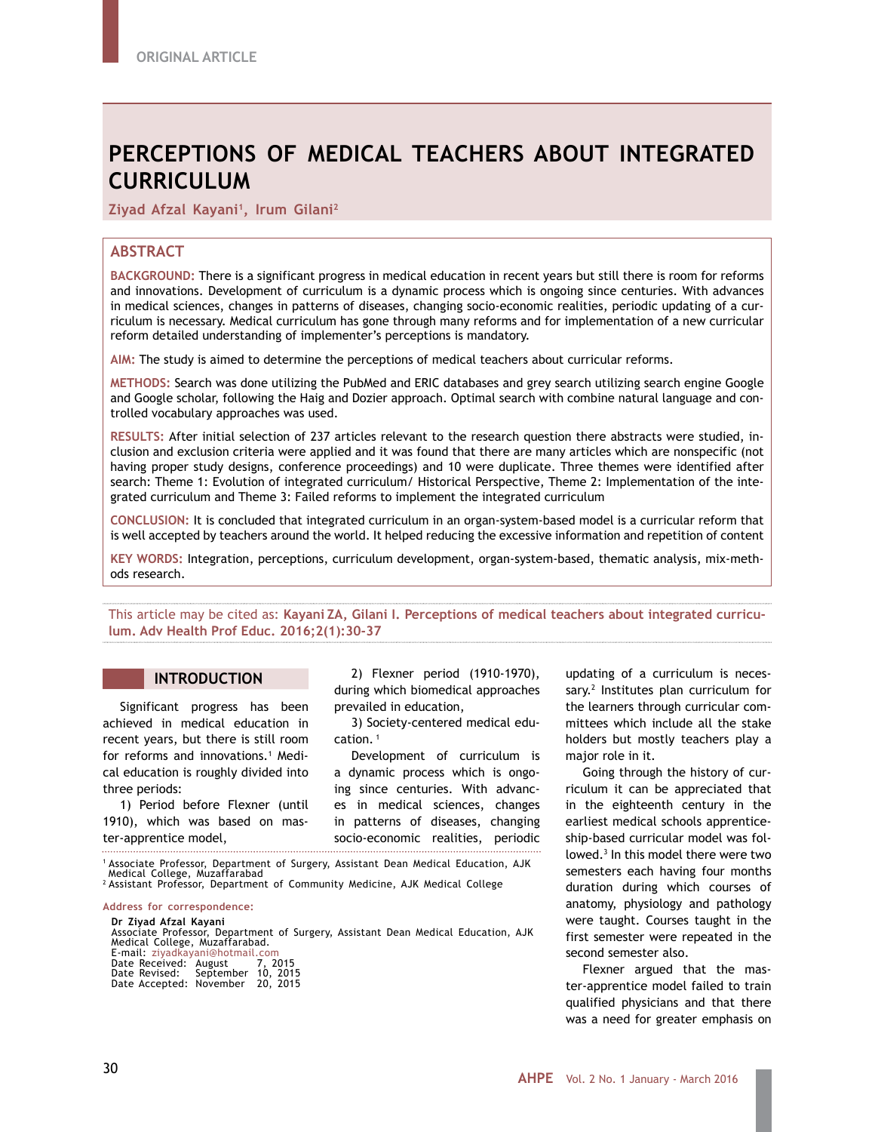# **PERCEPTIONS OF MEDICAL TEACHERS ABOUT INTEGRATED CURRICULUM**

**Ziyad Afzal Kayani1, Irum Gilani2**

# **ABSTRACT**

**BACKGROUND:** There is a significant progress in medical education in recent years but still there is room for reforms and innovations. Development of curriculum is a dynamic process which is ongoing since centuries. With advances in medical sciences, changes in patterns of diseases, changing socio-economic realities, periodic updating of a curriculum is necessary. Medical curriculum has gone through many reforms and for implementation of a new curricular reform detailed understanding of implementer's perceptions is mandatory.

**AIM:** The study is aimed to determine the perceptions of medical teachers about curricular reforms.

**METHODS:** Search was done utilizing the PubMed and ERIC databases and grey search utilizing search engine Google and Google scholar, following the Haig and Dozier approach. Optimal search with combine natural language and controlled vocabulary approaches was used.

**RESULTS:** After initial selection of 237 articles relevant to the research question there abstracts were studied, inclusion and exclusion criteria were applied and it was found that there are many articles which are nonspecific (not having proper study designs, conference proceedings) and 10 were duplicate. Three themes were identified after search: Theme 1: Evolution of integrated curriculum/ Historical Perspective, Theme 2: Implementation of the integrated curriculum and Theme 3: Failed reforms to implement the integrated curriculum

**CONCLUSION:** It is concluded that integrated curriculum in an organ-system-based model is a curricular reform that is well accepted by teachers around the world. It helped reducing the excessive information and repetition of content

**KEY WORDS:** Integration, perceptions, curriculum development, organ-system-based, thematic analysis, mix-methods research.

This article may be cited as: **Kayani ZA, Gilani I. Perceptions of medical teachers about integrated curriculum. Adv Health Prof Educ. 2016;2(1):30-37**

# **INTRODUCTION**

Significant progress has been achieved in medical education in recent years, but there is still room for reforms and innovations.<sup>1</sup> Medical education is roughly divided into three periods:

1) Period before Flexner (until 1910), which was based on master-apprentice model,

2) Flexner period (1910-1970), during which biomedical approaches prevailed in education,

3) Society-centered medical education.<sup>1</sup>

Development of curriculum is a dynamic process which is ongoing since centuries. With advances in medical sciences, changes in patterns of diseases, changing socio-economic realities, periodic 

1 Associate Professor, Department of Surgery, Assistant Dean Medical Education, AJK

Medical College, Muzaffarabad 2 Assistant Professor, Department of Community Medicine, AJK Medical College

# **Address for correspondence: Dr Ziyad Afzal Kayani** Associate Professor, Department of Surgery, Assistant Dean Medical Education, AJK Medical College, Muzaffarabad. E-mail: ziyadkayani@hotmail.com Date Received: August 7, 2015 Date Revised: September 10, 2015 Date Accepted: November 20, 2015

updating of a curriculum is necessary.<sup>2</sup> Institutes plan curriculum for the learners through curricular committees which include all the stake holders but mostly teachers play a major role in it.

Going through the history of curriculum it can be appreciated that in the eighteenth century in the earliest medical schools apprenticeship-based curricular model was followed.3 In this model there were two semesters each having four months duration during which courses of anatomy, physiology and pathology were taught. Courses taught in the first semester were repeated in the second semester also.

Flexner argued that the master-apprentice model failed to train qualified physicians and that there was a need for greater emphasis on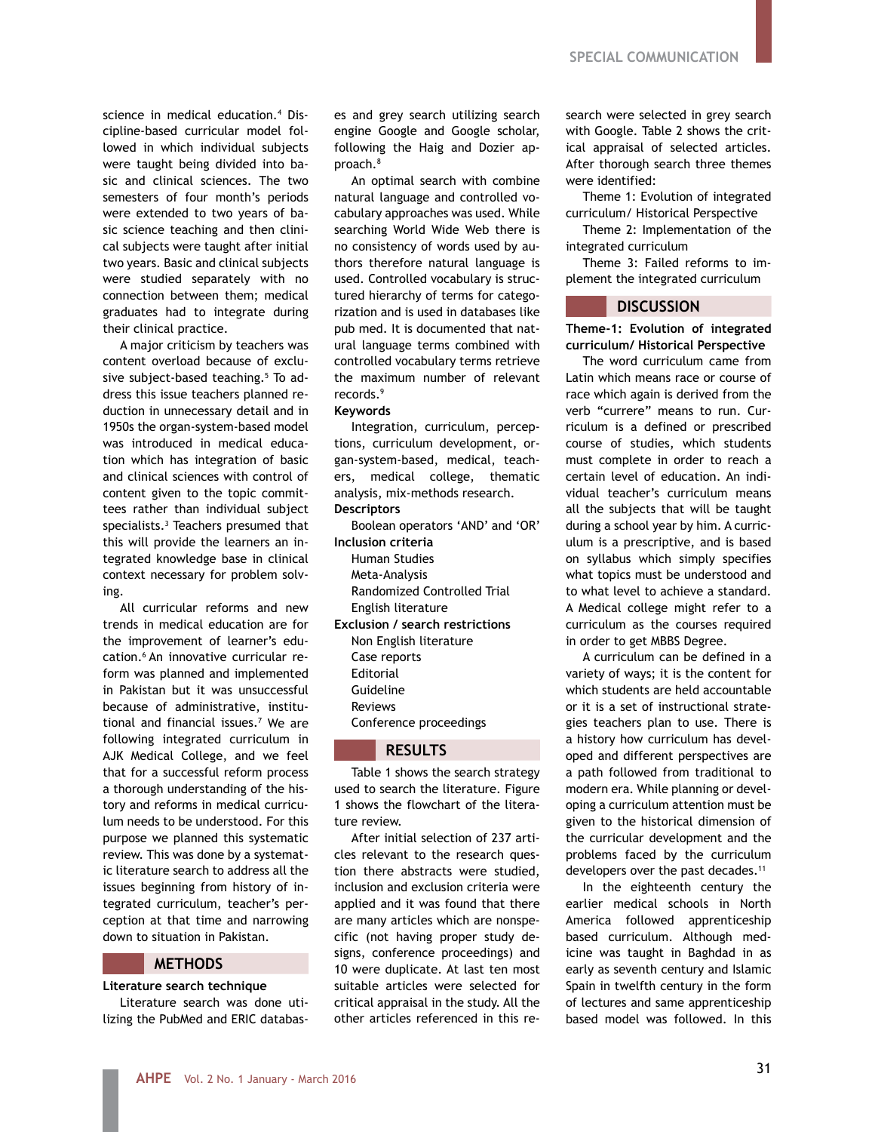science in medical education.4 Discipline-based curricular model followed in which individual subjects were taught being divided into basic and clinical sciences. The two semesters of four month's periods were extended to two years of basic science teaching and then clinical subjects were taught after initial two years. Basic and clinical subjects were studied separately with no connection between them; medical graduates had to integrate during their clinical practice.

A major criticism by teachers was content overload because of exclusive subject-based teaching.5 To address this issue teachers planned reduction in unnecessary detail and in 1950s the organ-system-based model was introduced in medical education which has integration of basic and clinical sciences with control of content given to the topic committees rather than individual subject specialists.3 Teachers presumed that this will provide the learners an integrated knowledge base in clinical context necessary for problem solving.

All curricular reforms and new trends in medical education are for the improvement of learner's education.6 An innovative curricular reform was planned and implemented in Pakistan but it was unsuccessful because of administrative, institutional and financial issues.7 We are following integrated curriculum in AJK Medical College, and we feel that for a successful reform process a thorough understanding of the history and reforms in medical curriculum needs to be understood. For this purpose we planned this systematic review. This was done by a systematic literature search to address all the issues beginning from history of integrated curriculum, teacher's perception at that time and narrowing down to situation in Pakistan.

#### **METHODS**

**Literature search technique** 

Literature search was done utilizing the PubMed and ERIC databases and grey search utilizing search engine Google and Google scholar, following the Haig and Dozier approach.8

An optimal search with combine natural language and controlled vocabulary approaches was used. While searching World Wide Web there is no consistency of words used by authors therefore natural language is used. Controlled vocabulary is structured hierarchy of terms for categorization and is used in databases like pub med. It is documented that natural language terms combined with controlled vocabulary terms retrieve the maximum number of relevant records.9

#### **Keywords**

Integration, curriculum, perceptions, curriculum development, organ-system-based, medical, teachers, medical college, thematic analysis, mix-methods research. **Descriptors**

Boolean operators 'AND' and 'OR' **Inclusion criteria**  Human Studies Meta-Analysis Randomized Controlled Trial English literature

**Exclusion / search restrictions** Non English literature Case reports Editorial Guideline Reviews Conference proceedings

# **RESULTS**

Table 1 shows the search strategy used to search the literature. Figure 1 shows the flowchart of the literature review.

After initial selection of 237 articles relevant to the research question there abstracts were studied, inclusion and exclusion criteria were applied and it was found that there are many articles which are nonspecific (not having proper study designs, conference proceedings) and 10 were duplicate. At last ten most suitable articles were selected for critical appraisal in the study. All the other articles referenced in this research were selected in grey search with Google. Table 2 shows the critical appraisal of selected articles. After thorough search three themes were identified:

Theme 1: Evolution of integrated curriculum/ Historical Perspective

Theme 2: Implementation of the integrated curriculum

Theme 3: Failed reforms to implement the integrated curriculum

## **DISCUSSION**

**Theme-1: Evolution of integrated curriculum/ Historical Perspective**

The word curriculum came from Latin which means race or course of race which again is derived from the verb "currere" means to run. Curriculum is a defined or prescribed course of studies, which students must complete in order to reach a certain level of education. An individual teacher's curriculum means all the subjects that will be taught during a school year by him. A curriculum is a prescriptive, and is based on syllabus which simply specifies what topics must be understood and to what level to achieve a standard. A Medical college might refer to a curriculum as the courses required in order to get MBBS Degree.

A curriculum can be defined in a variety of ways; it is the content for which students are held accountable or it is a set of instructional strategies teachers plan to use. There is a history how curriculum has developed and different perspectives are a path followed from traditional to modern era. While planning or developing a curriculum attention must be given to the historical dimension of the curricular development and the problems faced by the curriculum developers over the past decades.<sup>11</sup>

In the eighteenth century the earlier medical schools in North America followed apprenticeship based curriculum. Although medicine was taught in Baghdad in as early as seventh century and Islamic Spain in twelfth century in the form of lectures and same apprenticeship based model was followed. In this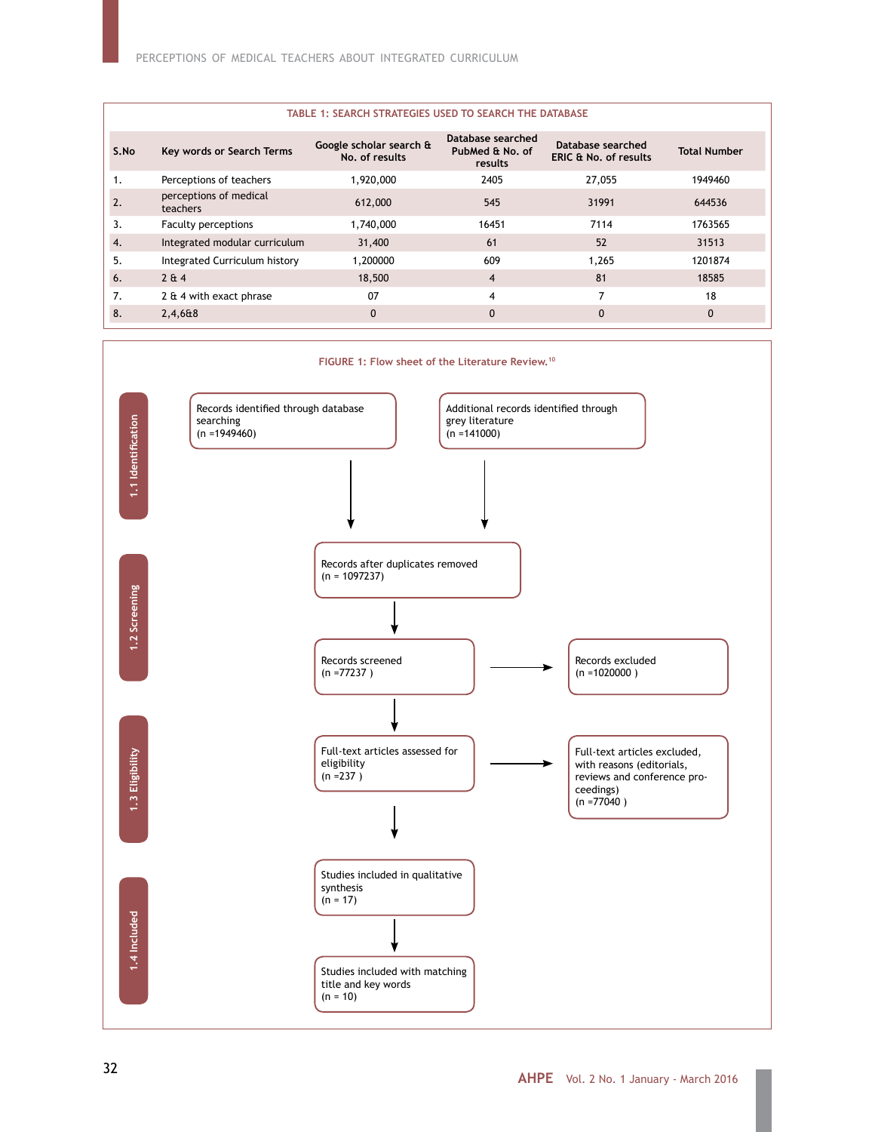| Database searched<br>PubMed & No. of<br><b>ERIC &amp; No. of results</b> | <b>Total Number</b> |
|--------------------------------------------------------------------------|---------------------|
| 27,055                                                                   | 1949460             |
| 31991                                                                    | 644536              |
| 7114                                                                     | 1763565             |
| 52                                                                       | 31513               |
| 1,265                                                                    | 1201874             |
| 81                                                                       | 18585               |
| 7                                                                        | 18                  |
| $\Omega$                                                                 | $\Omega$            |
|                                                                          | Database searched   |



# **AHPE** Vol. 2 No. 1 January - March 2016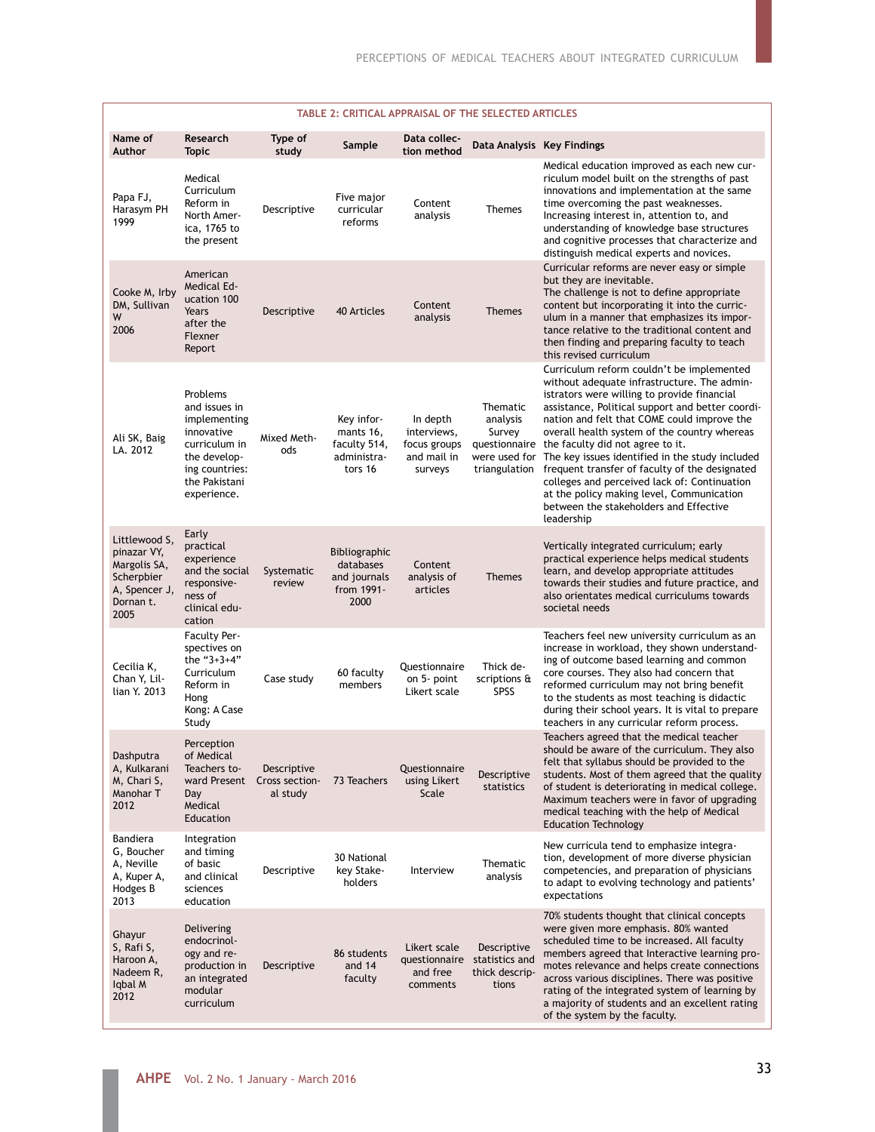| TABLE 2: CRITICAL APPRAISAL OF THE SELECTED ARTICLES                                             |                                                                                                                                            |                                           |                                                                   |                                                                   |                                                          |                                                                                                                                                                                                                                                                                                                                                                                                                                                                                                                                                                                                                                    |  |  |  |
|--------------------------------------------------------------------------------------------------|--------------------------------------------------------------------------------------------------------------------------------------------|-------------------------------------------|-------------------------------------------------------------------|-------------------------------------------------------------------|----------------------------------------------------------|------------------------------------------------------------------------------------------------------------------------------------------------------------------------------------------------------------------------------------------------------------------------------------------------------------------------------------------------------------------------------------------------------------------------------------------------------------------------------------------------------------------------------------------------------------------------------------------------------------------------------------|--|--|--|
| Name of<br><b>Author</b>                                                                         | Research<br><b>Topic</b>                                                                                                                   | Type of<br>study                          | Sample                                                            | Data collec-<br>tion method                                       |                                                          | Data Analysis Key Findings                                                                                                                                                                                                                                                                                                                                                                                                                                                                                                                                                                                                         |  |  |  |
| Papa FJ,<br>Harasym PH<br>1999                                                                   | Medical<br>Curriculum<br>Reform in<br>North Amer-<br>ica, 1765 to<br>the present                                                           | Descriptive                               | Five major<br>curricular<br>reforms                               | Content<br>analysis                                               | <b>Themes</b>                                            | Medical education improved as each new cur-<br>riculum model built on the strengths of past<br>innovations and implementation at the same<br>time overcoming the past weaknesses.<br>Increasing interest in, attention to, and<br>understanding of knowledge base structures<br>and cognitive processes that characterize and<br>distinguish medical experts and novices.                                                                                                                                                                                                                                                          |  |  |  |
| Cooke M, Irby<br>DM, Sullivan<br>W<br>2006                                                       | American<br>Medical Ed-<br>ucation 100<br>Years<br>after the<br>Flexner<br>Report                                                          | Descriptive                               | <b>40 Articles</b>                                                | Content<br>analysis                                               | <b>Themes</b>                                            | Curricular reforms are never easy or simple<br>but they are inevitable.<br>The challenge is not to define appropriate<br>content but incorporating it into the curric-<br>ulum in a manner that emphasizes its impor-<br>tance relative to the traditional content and<br>then finding and preparing faculty to teach<br>this revised curriculum                                                                                                                                                                                                                                                                                   |  |  |  |
| Ali SK, Baig<br>LA. 2012                                                                         | Problems<br>and issues in<br>implementing<br>innovative<br>curriculum in<br>the develop-<br>ing countries:<br>the Pakistani<br>experience. | Mixed Meth-<br>ods                        | Key infor-<br>mants 16,<br>faculty 514,<br>administra-<br>tors 16 | In depth<br>interviews,<br>focus groups<br>and mail in<br>surveys | Thematic<br>analysis<br>Survey                           | Curriculum reform couldn't be implemented<br>without adequate infrastructure. The admin-<br>istrators were willing to provide financial<br>assistance, Political support and better coordi-<br>nation and felt that COME could improve the<br>overall health system of the country whereas<br>questionnaire the faculty did not agree to it.<br>were used for The key issues identified in the study included<br>triangulation frequent transfer of faculty of the designated<br>colleges and perceived lack of: Continuation<br>at the policy making level, Communication<br>between the stakeholders and Effective<br>leadership |  |  |  |
| Littlewood S,<br>pinazar VY,<br>Margolis SA,<br>Scherpbier<br>A, Spencer J,<br>Dornan t.<br>2005 | Early<br>practical<br>experience<br>and the social<br>responsive-<br>ness of<br>clinical edu-<br>cation                                    | Systematic<br>review                      | Bibliographic<br>databases<br>and journals<br>from 1991-<br>2000  | Content<br>analysis of<br>articles                                | <b>Themes</b>                                            | Vertically integrated curriculum; early<br>practical experience helps medical students<br>learn, and develop appropriate attitudes<br>towards their studies and future practice, and<br>also orientates medical curriculums towards<br>societal needs                                                                                                                                                                                                                                                                                                                                                                              |  |  |  |
| Cecilia K,<br>Chan Y, Lil-<br>lian Y. 2013                                                       | <b>Faculty Per-</b><br>spectives on<br>the "3+3+4"<br>Curriculum<br>Reform in<br>Hong<br>Kong: A Case<br>Study                             | Case study                                | 60 faculty<br>members                                             | Questionnaire<br>on 5- point<br>Likert scale                      | Thick de-<br>scriptions &<br><b>SPSS</b>                 | Teachers feel new university curriculum as an<br>increase in workload, they shown understand-<br>ing of outcome based learning and common<br>core courses. They also had concern that<br>reformed curriculum may not bring benefit<br>to the students as most teaching is didactic<br>during their school years. It is vital to prepare<br>teachers in any curricular reform process.                                                                                                                                                                                                                                              |  |  |  |
| Dashputra<br>A, Kulkarani<br>M, Chari S,<br>Manohar T<br>2012                                    | Perception<br>of Medical<br>Teachers to-<br>ward Present<br>Day<br>Medical<br>Education                                                    | Descriptive<br>Cross section-<br>al study | 73 Teachers                                                       | Questionnaire<br>using Likert<br>Scale                            | Descriptive<br>statistics                                | Teachers agreed that the medical teacher<br>should be aware of the curriculum. They also<br>felt that syllabus should be provided to the<br>students. Most of them agreed that the quality<br>of student is deteriorating in medical college.<br>Maximum teachers were in favor of upgrading<br>medical teaching with the help of Medical<br><b>Education Technology</b>                                                                                                                                                                                                                                                           |  |  |  |
| Bandiera<br>G, Boucher<br>A, Neville<br>A, Kuper A,<br>Hodges B<br>2013                          | Integration<br>and timing<br>of basic<br>and clinical<br>sciences<br>education                                                             | Descriptive                               | 30 National<br>key Stake-<br>holders                              | Interview                                                         | Thematic<br>analysis                                     | New curricula tend to emphasize integra-<br>tion, development of more diverse physician<br>competencies, and preparation of physicians<br>to adapt to evolving technology and patients'<br>expectations                                                                                                                                                                                                                                                                                                                                                                                                                            |  |  |  |
| Ghayur<br>S, Rafi S,<br>Haroon A,<br>Nadeem R,<br>Iqbal M<br>2012                                | Delivering<br>endocrinol-<br>ogy and re-<br>production in<br>an integrated<br>modular<br>curriculum                                        | Descriptive                               | 86 students<br>and 14<br>faculty                                  | Likert scale<br>questionnaire<br>and free<br>comments             | Descriptive<br>statistics and<br>thick descrip-<br>tions | 70% students thought that clinical concepts<br>were given more emphasis. 80% wanted<br>scheduled time to be increased. All faculty<br>members agreed that Interactive learning pro-<br>motes relevance and helps create connections<br>across various disciplines. There was positive<br>rating of the integrated system of learning by<br>a majority of students and an excellent rating<br>of the system by the faculty.                                                                                                                                                                                                         |  |  |  |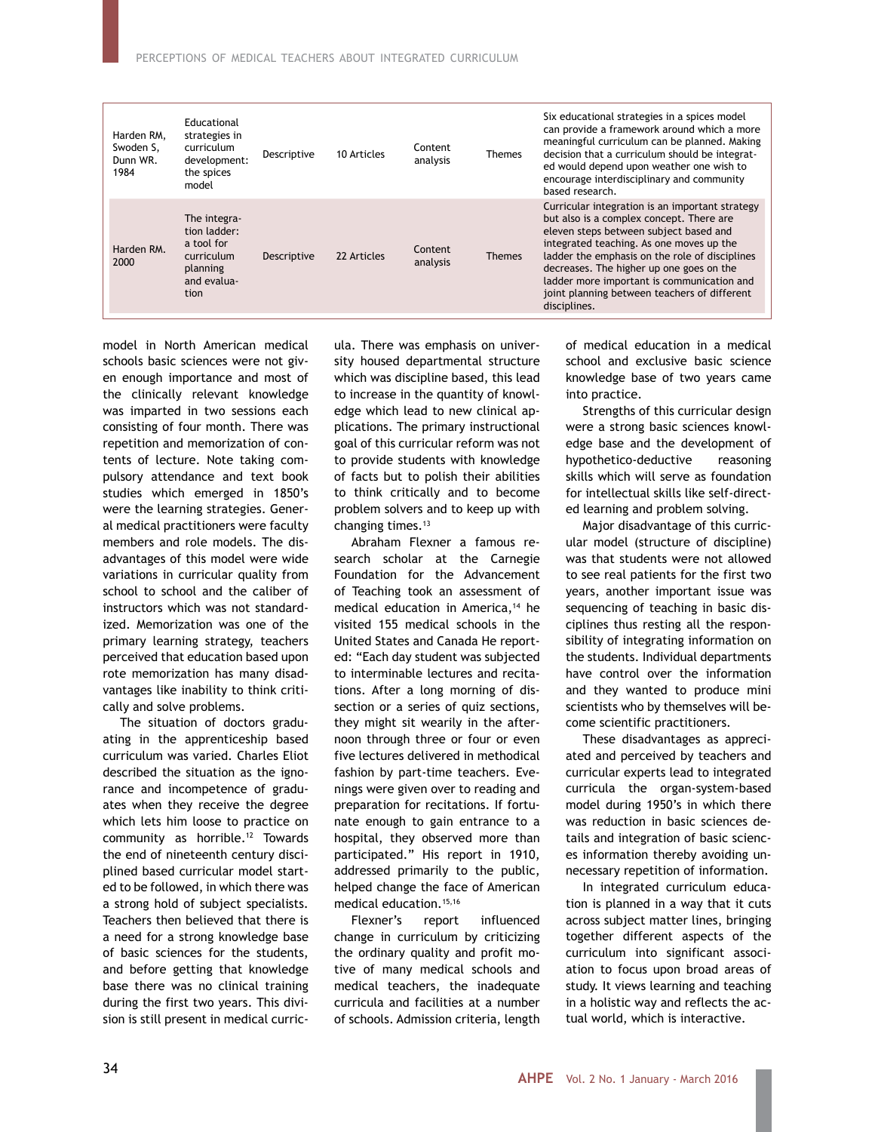| Harden RM.<br>Swoden S.<br>Dunn WR.<br>1984 | Educational<br>strategies in<br>curriculum<br>development:<br>the spices<br>model           | Descriptive | 10 Articles | Content<br>analysis | <b>Themes</b> | Six educational strategies in a spices model<br>can provide a framework around which a more<br>meaningful curriculum can be planned. Making<br>decision that a curriculum should be integrat-<br>ed would depend upon weather one wish to<br>encourage interdisciplinary and community<br>based research.                                                                                     |
|---------------------------------------------|---------------------------------------------------------------------------------------------|-------------|-------------|---------------------|---------------|-----------------------------------------------------------------------------------------------------------------------------------------------------------------------------------------------------------------------------------------------------------------------------------------------------------------------------------------------------------------------------------------------|
| Harden RM.<br>2000                          | The integra-<br>tion ladder:<br>a tool for<br>curriculum<br>planning<br>and evalua-<br>tion | Descriptive | 22 Articles | Content<br>analysis | <b>Themes</b> | Curricular integration is an important strategy<br>but also is a complex concept. There are<br>eleven steps between subject based and<br>integrated teaching. As one moves up the<br>ladder the emphasis on the role of disciplines<br>decreases. The higher up one goes on the<br>ladder more important is communication and<br>joint planning between teachers of different<br>disciplines. |

model in North American medical schools basic sciences were not given enough importance and most of the clinically relevant knowledge was imparted in two sessions each consisting of four month. There was repetition and memorization of contents of lecture. Note taking compulsory attendance and text book studies which emerged in 1850's were the learning strategies. General medical practitioners were faculty members and role models. The disadvantages of this model were wide variations in curricular quality from school to school and the caliber of instructors which was not standardized. Memorization was one of the primary learning strategy, teachers perceived that education based upon rote memorization has many disadvantages like inability to think critically and solve problems.

The situation of doctors graduating in the apprenticeship based curriculum was varied. Charles Eliot described the situation as the ignorance and incompetence of graduates when they receive the degree which lets him loose to practice on community as horrible.12 Towards the end of nineteenth century disciplined based curricular model started to be followed, in which there was a strong hold of subject specialists. Teachers then believed that there is a need for a strong knowledge base of basic sciences for the students, and before getting that knowledge base there was no clinical training during the first two years. This division is still present in medical curricula. There was emphasis on university housed departmental structure which was discipline based, this lead to increase in the quantity of knowledge which lead to new clinical applications. The primary instructional goal of this curricular reform was not to provide students with knowledge of facts but to polish their abilities to think critically and to become problem solvers and to keep up with changing times.<sup>13</sup>

Abraham Flexner a famous research scholar at the Carnegie Foundation for the Advancement of Teaching took an assessment of medical education in America,<sup>14</sup> he visited 155 medical schools in the United States and Canada He reported: "Each day student was subjected to interminable lectures and recitations. After a long morning of dissection or a series of quiz sections, they might sit wearily in the afternoon through three or four or even five lectures delivered in methodical fashion by part-time teachers. Evenings were given over to reading and preparation for recitations. If fortunate enough to gain entrance to a hospital, they observed more than participated." His report in 1910, addressed primarily to the public, helped change the face of American medical education.15,16

Flexner's report influenced change in curriculum by criticizing the ordinary quality and profit motive of many medical schools and medical teachers, the inadequate curricula and facilities at a number of schools. Admission criteria, length

of medical education in a medical school and exclusive basic science knowledge base of two years came into practice.

Strengths of this curricular design were a strong basic sciences knowledge base and the development of hypothetico-deductive reasoning skills which will serve as foundation for intellectual skills like self-directed learning and problem solving.

Major disadvantage of this curricular model (structure of discipline) was that students were not allowed to see real patients for the first two years, another important issue was sequencing of teaching in basic disciplines thus resting all the responsibility of integrating information on the students. Individual departments have control over the information and they wanted to produce mini scientists who by themselves will become scientific practitioners.

These disadvantages as appreciated and perceived by teachers and curricular experts lead to integrated curricula the organ-system-based model during 1950's in which there was reduction in basic sciences details and integration of basic sciences information thereby avoiding unnecessary repetition of information.

In integrated curriculum education is planned in a way that it cuts across subject matter lines, bringing together different aspects of the curriculum into significant association to focus upon broad areas of study. It views learning and teaching in a holistic way and reflects the actual world, which is interactive.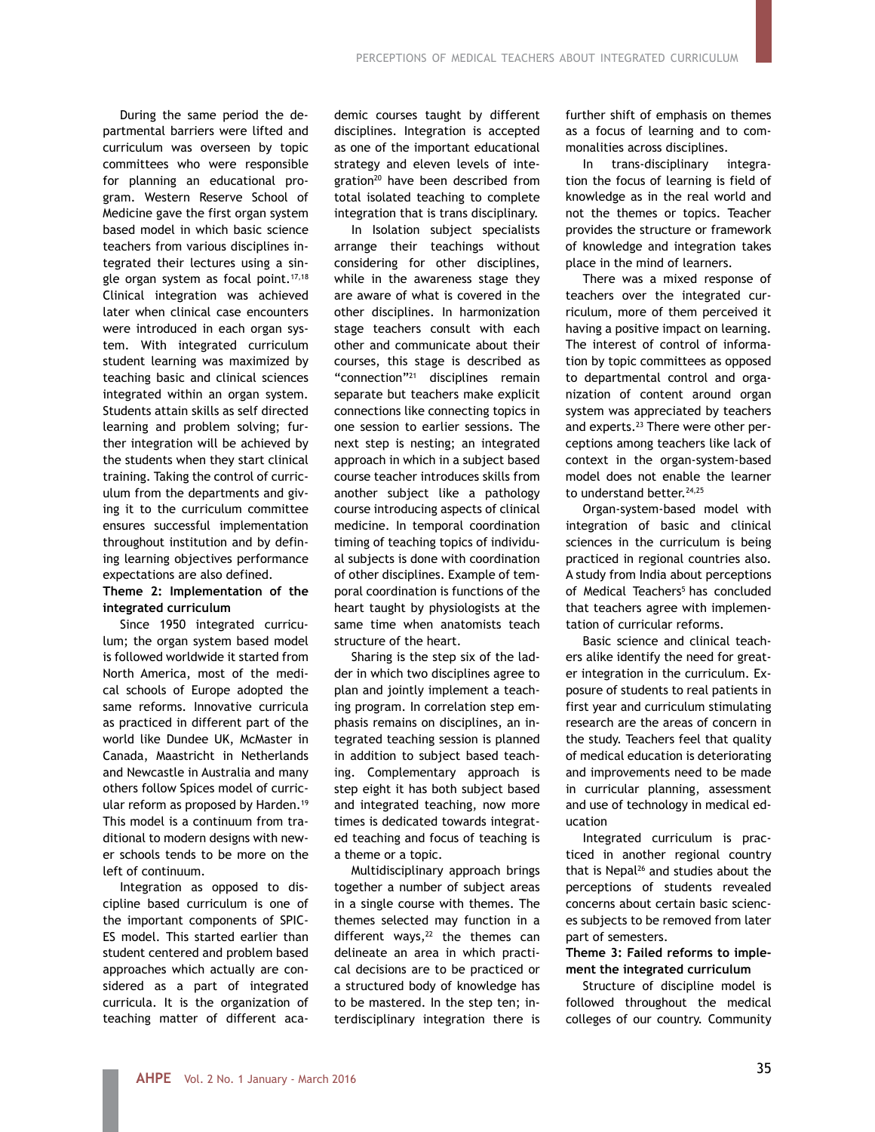During the same period the departmental barriers were lifted and curriculum was overseen by topic committees who were responsible for planning an educational program. Western Reserve School of Medicine gave the first organ system based model in which basic science teachers from various disciplines integrated their lectures using a single organ system as focal point.<sup>17,18</sup> Clinical integration was achieved later when clinical case encounters were introduced in each organ system. With integrated curriculum student learning was maximized by teaching basic and clinical sciences integrated within an organ system. Students attain skills as self directed learning and problem solving; further integration will be achieved by the students when they start clinical training. Taking the control of curriculum from the departments and giving it to the curriculum committee ensures successful implementation throughout institution and by defining learning objectives performance expectations are also defined.

# **Theme 2: Implementation of the integrated curriculum**

Since 1950 integrated curriculum; the organ system based model is followed worldwide it started from North America, most of the medical schools of Europe adopted the same reforms. Innovative curricula as practiced in different part of the world like Dundee UK, McMaster in Canada, Maastricht in Netherlands and Newcastle in Australia and many others follow Spices model of curricular reform as proposed by Harden.<sup>19</sup> This model is a continuum from traditional to modern designs with newer schools tends to be more on the left of continuum.

Integration as opposed to discipline based curriculum is one of the important components of SPIC-ES model. This started earlier than student centered and problem based approaches which actually are considered as a part of integrated curricula. It is the organization of teaching matter of different academic courses taught by different disciplines. Integration is accepted as one of the important educational strategy and eleven levels of integration<sup>20</sup> have been described from total isolated teaching to complete integration that is trans disciplinary.

In Isolation subject specialists arrange their teachings without considering for other disciplines, while in the awareness stage they are aware of what is covered in the other disciplines. In harmonization stage teachers consult with each other and communicate about their courses, this stage is described as "connection"21 disciplines remain separate but teachers make explicit connections like connecting topics in one session to earlier sessions. The next step is nesting; an integrated approach in which in a subject based course teacher introduces skills from another subject like a pathology course introducing aspects of clinical medicine. In temporal coordination timing of teaching topics of individual subjects is done with coordination of other disciplines. Example of temporal coordination is functions of the heart taught by physiologists at the same time when anatomists teach structure of the heart.

Sharing is the step six of the ladder in which two disciplines agree to plan and jointly implement a teaching program. In correlation step emphasis remains on disciplines, an integrated teaching session is planned in addition to subject based teaching. Complementary approach is step eight it has both subject based and integrated teaching, now more times is dedicated towards integrated teaching and focus of teaching is a theme or a topic.

Multidisciplinary approach brings together a number of subject areas in a single course with themes. The themes selected may function in a different ways, $22$  the themes can delineate an area in which practical decisions are to be practiced or a structured body of knowledge has to be mastered. In the step ten; interdisciplinary integration there is further shift of emphasis on themes as a focus of learning and to commonalities across disciplines.

In trans-disciplinary integration the focus of learning is field of knowledge as in the real world and not the themes or topics. Teacher provides the structure or framework of knowledge and integration takes place in the mind of learners.

There was a mixed response of teachers over the integrated curriculum, more of them perceived it having a positive impact on learning. The interest of control of information by topic committees as opposed to departmental control and organization of content around organ system was appreciated by teachers and experts.<sup>23</sup> There were other perceptions among teachers like lack of context in the organ-system-based model does not enable the learner to understand better.<sup>24,25</sup>

Organ-system-based model with integration of basic and clinical sciences in the curriculum is being practiced in regional countries also. A study from India about perceptions of Medical Teachers<sup>5</sup> has concluded that teachers agree with implementation of curricular reforms.

Basic science and clinical teachers alike identify the need for greater integration in the curriculum. Exposure of students to real patients in first year and curriculum stimulating research are the areas of concern in the study. Teachers feel that quality of medical education is deteriorating and improvements need to be made in curricular planning, assessment and use of technology in medical education

Integrated curriculum is practiced in another regional country that is Nepal<sup>26</sup> and studies about the perceptions of students revealed concerns about certain basic sciences subjects to be removed from later part of semesters.

**Theme 3: Failed reforms to implement the integrated curriculum**

Structure of discipline model is followed throughout the medical colleges of our country. Community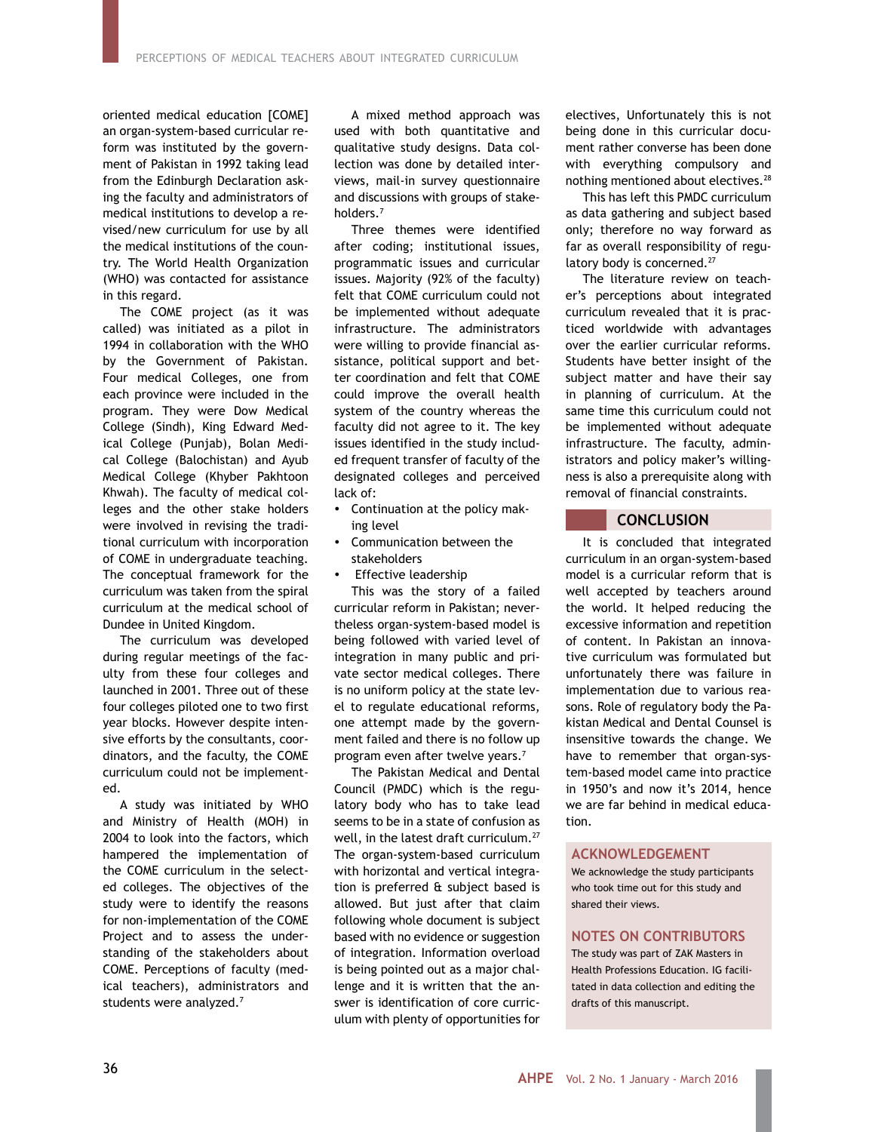oriented medical education [COME] an organ-system-based curricular reform was instituted by the government of Pakistan in 1992 taking lead from the Edinburgh Declaration asking the faculty and administrators of medical institutions to develop a revised/new curriculum for use by all the medical institutions of the country. The World Health Organization (WHO) was contacted for assistance in this regard.

The COME project (as it was called) was initiated as a pilot in 1994 in collaboration with the WHO by the Government of Pakistan. Four medical Colleges, one from each province were included in the program. They were Dow Medical College (Sindh), King Edward Medical College (Punjab), Bolan Medical College (Balochistan) and Ayub Medical College (Khyber Pakhtoon Khwah). The faculty of medical colleges and the other stake holders were involved in revising the traditional curriculum with incorporation of COME in undergraduate teaching. The conceptual framework for the curriculum was taken from the spiral curriculum at the medical school of Dundee in United Kingdom.

The curriculum was developed during regular meetings of the faculty from these four colleges and launched in 2001. Three out of these four colleges piloted one to two first year blocks. However despite intensive efforts by the consultants, coordinators, and the faculty, the COME curriculum could not be implemented.

A study was initiated by WHO and Ministry of Health (MOH) in 2004 to look into the factors, which hampered the implementation of the COME curriculum in the selected colleges. The objectives of the study were to identify the reasons for non-implementation of the COME Project and to assess the understanding of the stakeholders about COME. Perceptions of faculty (medical teachers), administrators and students were analyzed.7

A mixed method approach was used with both quantitative and qualitative study designs. Data collection was done by detailed interviews, mail-in survey questionnaire and discussions with groups of stakeholders.7

Three themes were identified after coding; institutional issues, programmatic issues and curricular issues. Majority (92% of the faculty) felt that COME curriculum could not be implemented without adequate infrastructure. The administrators were willing to provide financial assistance, political support and better coordination and felt that COME could improve the overall health system of the country whereas the faculty did not agree to it. The key issues identified in the study included frequent transfer of faculty of the designated colleges and perceived lack of:

- Continuation at the policy making level
- Communication between the stakeholders
- Effective leadership

This was the story of a failed curricular reform in Pakistan; nevertheless organ-system-based model is being followed with varied level of integration in many public and private sector medical colleges. There is no uniform policy at the state level to regulate educational reforms, one attempt made by the government failed and there is no follow up program even after twelve years.7

The Pakistan Medical and Dental Council (PMDC) which is the regulatory body who has to take lead seems to be in a state of confusion as well, in the latest draft curriculum.<sup>27</sup> The organ-system-based curriculum with horizontal and vertical integration is preferred & subject based is allowed. But just after that claim following whole document is subject based with no evidence or suggestion of integration. Information overload is being pointed out as a major challenge and it is written that the answer is identification of core curriculum with plenty of opportunities for electives, Unfortunately this is not being done in this curricular document rather converse has been done with everything compulsory and nothing mentioned about electives.<sup>28</sup>

This has left this PMDC curriculum as data gathering and subject based only; therefore no way forward as far as overall responsibility of regulatory body is concerned.<sup>27</sup>

The literature review on teacher's perceptions about integrated curriculum revealed that it is practiced worldwide with advantages over the earlier curricular reforms. Students have better insight of the subject matter and have their say in planning of curriculum. At the same time this curriculum could not be implemented without adequate infrastructure. The faculty, administrators and policy maker's willingness is also a prerequisite along with removal of financial constraints.

# **CONCLUSION**

It is concluded that integrated curriculum in an organ-system-based model is a curricular reform that is well accepted by teachers around the world. It helped reducing the excessive information and repetition of content. In Pakistan an innovative curriculum was formulated but unfortunately there was failure in implementation due to various reasons. Role of regulatory body the Pakistan Medical and Dental Counsel is insensitive towards the change. We have to remember that organ-system-based model came into practice in 1950's and now it's 2014, hence we are far behind in medical education.

### **ACKNOWLEDGEMENT**

We acknowledge the study participants who took time out for this study and shared their views.

# **NOTES ON CONTRIBUTORS**

The study was part of ZAK Masters in Health Professions Education. IG facilitated in data collection and editing the drafts of this manuscript.